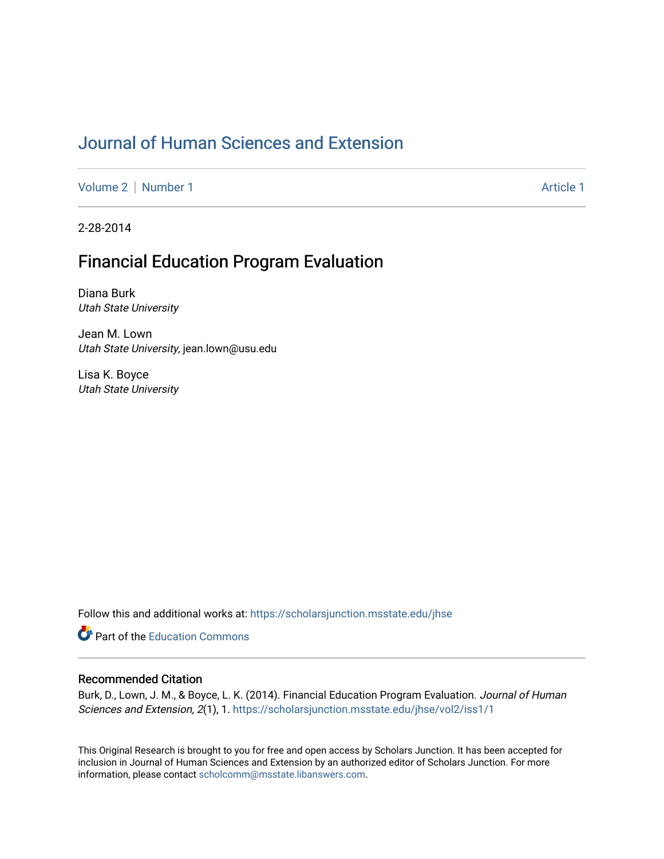## [Journal of Human Sciences and Extension](https://scholarsjunction.msstate.edu/jhse)

[Volume 2](https://scholarsjunction.msstate.edu/jhse/vol2) | [Number 1](https://scholarsjunction.msstate.edu/jhse/vol2/iss1) Article 1

2-28-2014

# Financial Education Program Evaluation

Diana Burk Utah State University

Jean M. Lown Utah State University, jean.lown@usu.edu

Lisa K. Boyce Utah State University

Follow this and additional works at: [https://scholarsjunction.msstate.edu/jhse](https://scholarsjunction.msstate.edu/jhse?utm_source=scholarsjunction.msstate.edu%2Fjhse%2Fvol2%2Fiss1%2F1&utm_medium=PDF&utm_campaign=PDFCoverPages)

Part of the [Education Commons](http://network.bepress.com/hgg/discipline/784?utm_source=scholarsjunction.msstate.edu%2Fjhse%2Fvol2%2Fiss1%2F1&utm_medium=PDF&utm_campaign=PDFCoverPages)

#### Recommended Citation

Burk, D., Lown, J. M., & Boyce, L. K. (2014). Financial Education Program Evaluation. Journal of Human Sciences and Extension, 2(1), 1. [https://scholarsjunction.msstate.edu/jhse/vol2/iss1/1](https://scholarsjunction.msstate.edu/jhse/vol2/iss1/1?utm_source=scholarsjunction.msstate.edu%2Fjhse%2Fvol2%2Fiss1%2F1&utm_medium=PDF&utm_campaign=PDFCoverPages)

This Original Research is brought to you for free and open access by Scholars Junction. It has been accepted for inclusion in Journal of Human Sciences and Extension by an authorized editor of Scholars Junction. For more information, please contact [scholcomm@msstate.libanswers.com](mailto:scholcomm@msstate.libanswers.com).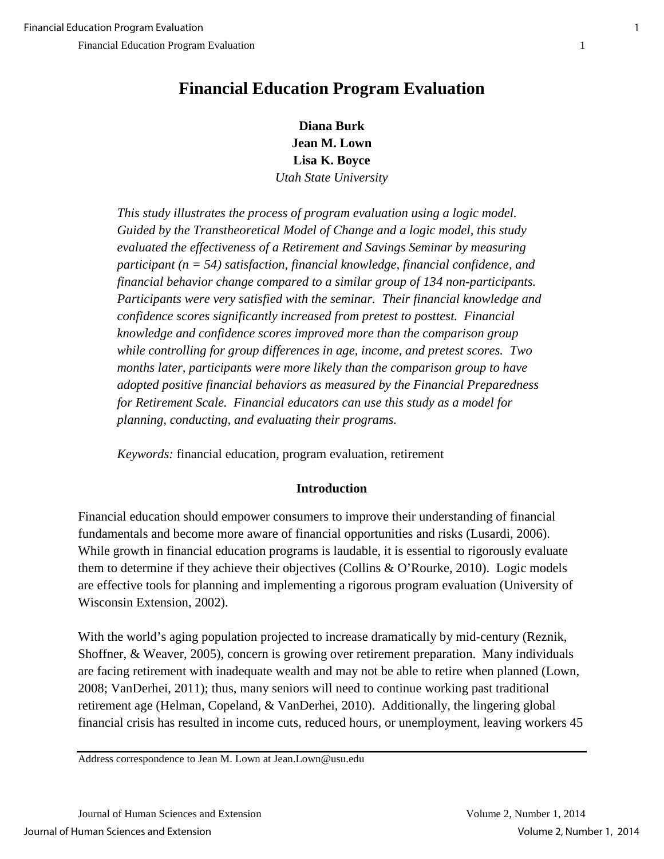**Diana Burk Jean M. Lown Lisa K. Boyce**  *Utah State University*

*This study illustrates the process of program evaluation using a logic model. Guided by the Transtheoretical Model of Change and a logic model, this study evaluated the effectiveness of a Retirement and Savings Seminar by measuring participant (n = 54) satisfaction, financial knowledge, financial confidence, and financial behavior change compared to a similar group of 134 non-participants. Participants were very satisfied with the seminar. Their financial knowledge and confidence scores significantly increased from pretest to posttest. Financial knowledge and confidence scores improved more than the comparison group while controlling for group differences in age, income, and pretest scores. Two months later, participants were more likely than the comparison group to have adopted positive financial behaviors as measured by the Financial Preparedness for Retirement Scale. Financial educators can use this study as a model for planning, conducting, and evaluating their programs.* 

*Keywords:* financial education, program evaluation, retirement

## **Introduction**

Financial education should empower consumers to improve their understanding of financial fundamentals and become more aware of financial opportunities and risks (Lusardi, 2006). While growth in financial education programs is laudable, it is essential to rigorously evaluate them to determine if they achieve their objectives (Collins & O'Rourke, 2010). Logic models are effective tools for planning and implementing a rigorous program evaluation (University of Wisconsin Extension, 2002).

With the world's aging population projected to increase dramatically by mid-century (Reznik, Shoffner, & Weaver, 2005), concern is growing over retirement preparation. Many individuals are facing retirement with inadequate wealth and may not be able to retire when planned (Lown, 2008; VanDerhei, 2011); thus, many seniors will need to continue working past traditional retirement age (Helman, Copeland, & VanDerhei, 2010). Additionally, the lingering global financial crisis has resulted in income cuts, reduced hours, or unemployment, leaving workers 45

Address correspondence to Jean M. Lown at Jean.Lown@usu.edu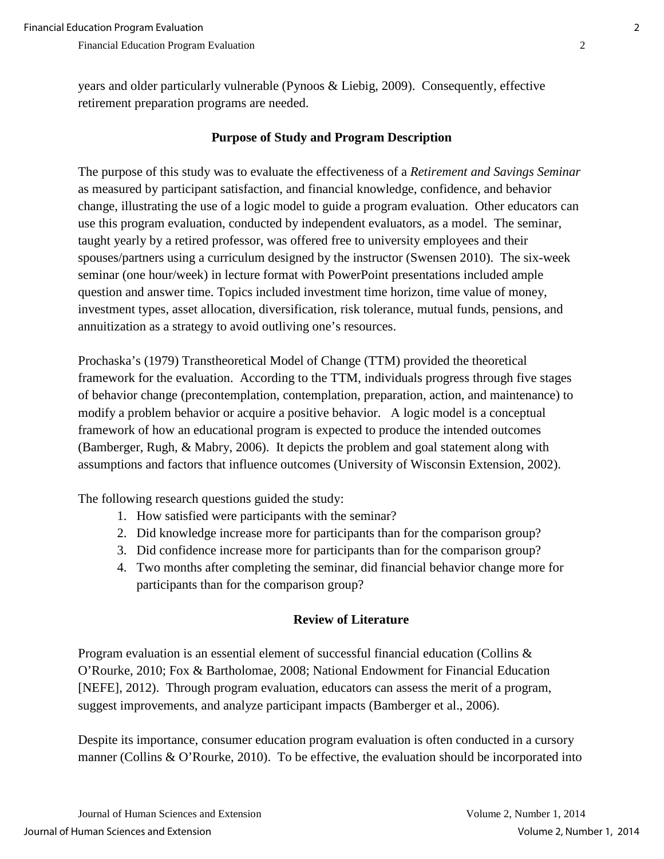years and older particularly vulnerable (Pynoos & Liebig, 2009). Consequently, effective retirement preparation programs are needed.

## **Purpose of Study and Program Description**

The purpose of this study was to evaluate the effectiveness of a *Retirement and Savings Seminar* as measured by participant satisfaction, and financial knowledge, confidence, and behavior change, illustrating the use of a logic model to guide a program evaluation. Other educators can use this program evaluation, conducted by independent evaluators, as a model. The seminar, taught yearly by a retired professor, was offered free to university employees and their spouses/partners using a curriculum designed by the instructor (Swensen 2010). The six-week seminar (one hour/week) in lecture format with PowerPoint presentations included ample question and answer time. Topics included investment time horizon, time value of money, investment types, asset allocation, diversification, risk tolerance, mutual funds, pensions, and annuitization as a strategy to avoid outliving one's resources.

Prochaska's (1979) Transtheoretical Model of Change (TTM) provided the theoretical framework for the evaluation. According to the TTM, individuals progress through five stages of behavior change (precontemplation, contemplation, preparation, action, and maintenance) to modify a problem behavior or acquire a positive behavior. A logic model is a conceptual framework of how an educational program is expected to produce the intended outcomes (Bamberger, Rugh, & Mabry, 2006). It depicts the problem and goal statement along with assumptions and factors that influence outcomes (University of Wisconsin Extension, 2002).

The following research questions guided the study:

- 1. How satisfied were participants with the seminar?
- 2. Did knowledge increase more for participants than for the comparison group?
- 3. Did confidence increase more for participants than for the comparison group?
- 4. Two months after completing the seminar, did financial behavior change more for participants than for the comparison group?

## **Review of Literature**

Program evaluation is an essential element of successful financial education (Collins & O'Rourke, 2010; Fox & Bartholomae, 2008; National Endowment for Financial Education [NEFE], 2012). Through program evaluation, educators can assess the merit of a program, suggest improvements, and analyze participant impacts (Bamberger et al., 2006).

Despite its importance, consumer education program evaluation is often conducted in a cursory manner (Collins & O'Rourke, 2010). To be effective, the evaluation should be incorporated into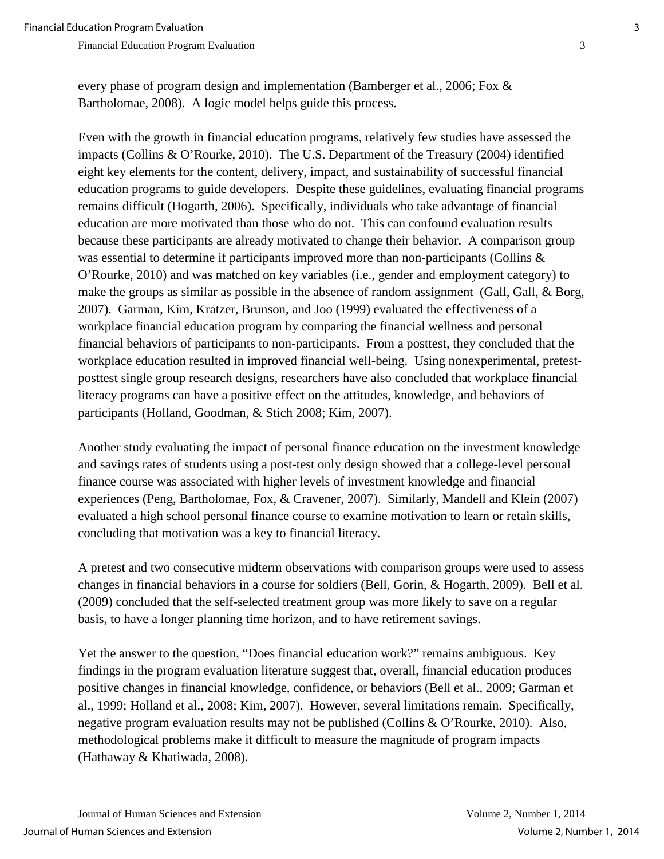every phase of program design and implementation (Bamberger et al., 2006; Fox & Bartholomae, 2008). A logic model helps guide this process.

Even with the growth in financial education programs, relatively few studies have assessed the impacts (Collins & O'Rourke, 2010). The U.S. Department of the Treasury (2004) identified eight key elements for the content, delivery, impact, and sustainability of successful financial education programs to guide developers. Despite these guidelines, evaluating financial programs remains difficult (Hogarth, 2006). Specifically, individuals who take advantage of financial education are more motivated than those who do not. This can confound evaluation results because these participants are already motivated to change their behavior. A comparison group was essential to determine if participants improved more than non-participants (Collins & O'Rourke, 2010) and was matched on key variables (i.e., gender and employment category) to make the groups as similar as possible in the absence of random assignment (Gall, Gall, & Borg, 2007). Garman, Kim, Kratzer, Brunson, and Joo (1999) evaluated the effectiveness of a workplace financial education program by comparing the financial wellness and personal financial behaviors of participants to non-participants. From a posttest, they concluded that the workplace education resulted in improved financial well-being. Using nonexperimental, pretestposttest single group research designs, researchers have also concluded that workplace financial literacy programs can have a positive effect on the attitudes, knowledge, and behaviors of participants (Holland, Goodman, & Stich 2008; Kim, 2007).

Another study evaluating the impact of personal finance education on the investment knowledge and savings rates of students using a post-test only design showed that a college-level personal finance course was associated with higher levels of investment knowledge and financial experiences (Peng, Bartholomae, Fox, & Cravener, 2007). Similarly, Mandell and Klein (2007) evaluated a high school personal finance course to examine motivation to learn or retain skills, concluding that motivation was a key to financial literacy.

A pretest and two consecutive midterm observations with comparison groups were used to assess changes in financial behaviors in a course for soldiers (Bell, Gorin, & Hogarth, 2009). Bell et al. (2009) concluded that the self-selected treatment group was more likely to save on a regular basis, to have a longer planning time horizon, and to have retirement savings.

Yet the answer to the question, "Does financial education work?" remains ambiguous. Key findings in the program evaluation literature suggest that, overall, financial education produces positive changes in financial knowledge, confidence, or behaviors (Bell et al., 2009; Garman et al., 1999; Holland et al., 2008; Kim, 2007). However, several limitations remain. Specifically, negative program evaluation results may not be published (Collins & O'Rourke, 2010). Also, methodological problems make it difficult to measure the magnitude of program impacts (Hathaway & Khatiwada, 2008).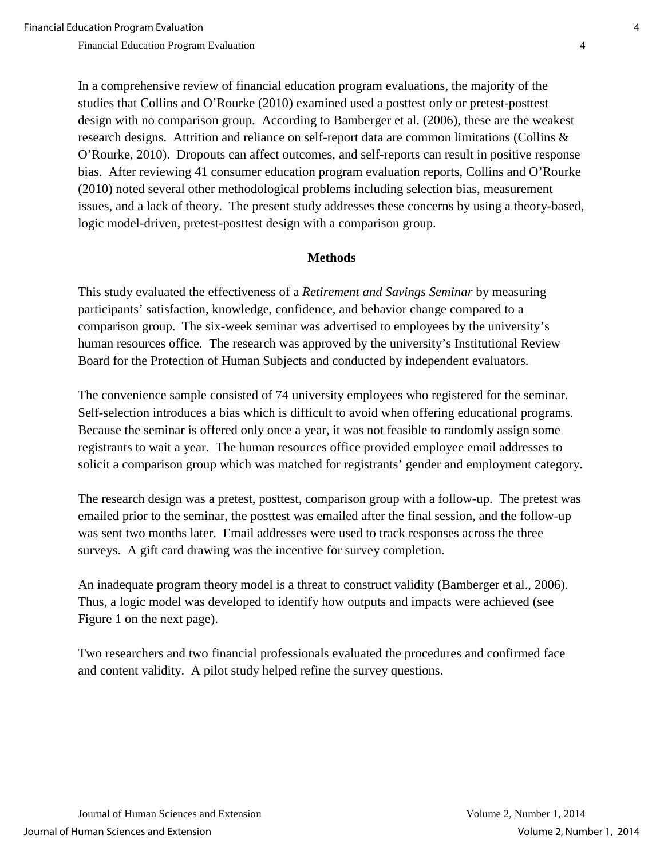In a comprehensive review of financial education program evaluations, the majority of the studies that Collins and O'Rourke (2010) examined used a posttest only or pretest-posttest design with no comparison group. According to Bamberger et al. (2006), these are the weakest research designs. Attrition and reliance on self-report data are common limitations (Collins & O'Rourke, 2010). Dropouts can affect outcomes, and self-reports can result in positive response bias. After reviewing 41 consumer education program evaluation reports, Collins and O'Rourke (2010) noted several other methodological problems including selection bias, measurement issues, and a lack of theory. The present study addresses these concerns by using a theory-based, logic model-driven, pretest-posttest design with a comparison group.

#### **Methods**

This study evaluated the effectiveness of a *Retirement and Savings Seminar* by measuring participants' satisfaction, knowledge, confidence, and behavior change compared to a comparison group. The six-week seminar was advertised to employees by the university's human resources office. The research was approved by the university's Institutional Review Board for the Protection of Human Subjects and conducted by independent evaluators.

The convenience sample consisted of 74 university employees who registered for the seminar. Self-selection introduces a bias which is difficult to avoid when offering educational programs. Because the seminar is offered only once a year, it was not feasible to randomly assign some registrants to wait a year. The human resources office provided employee email addresses to solicit a comparison group which was matched for registrants' gender and employment category.

The research design was a pretest, posttest, comparison group with a follow-up. The pretest was emailed prior to the seminar, the posttest was emailed after the final session, and the follow-up was sent two months later. Email addresses were used to track responses across the three surveys. A gift card drawing was the incentive for survey completion.

An inadequate program theory model is a threat to construct validity (Bamberger et al., 2006). Thus, a logic model was developed to identify how outputs and impacts were achieved (see Figure 1 on the next page).

Two researchers and two financial professionals evaluated the procedures and confirmed face and content validity. A pilot study helped refine the survey questions.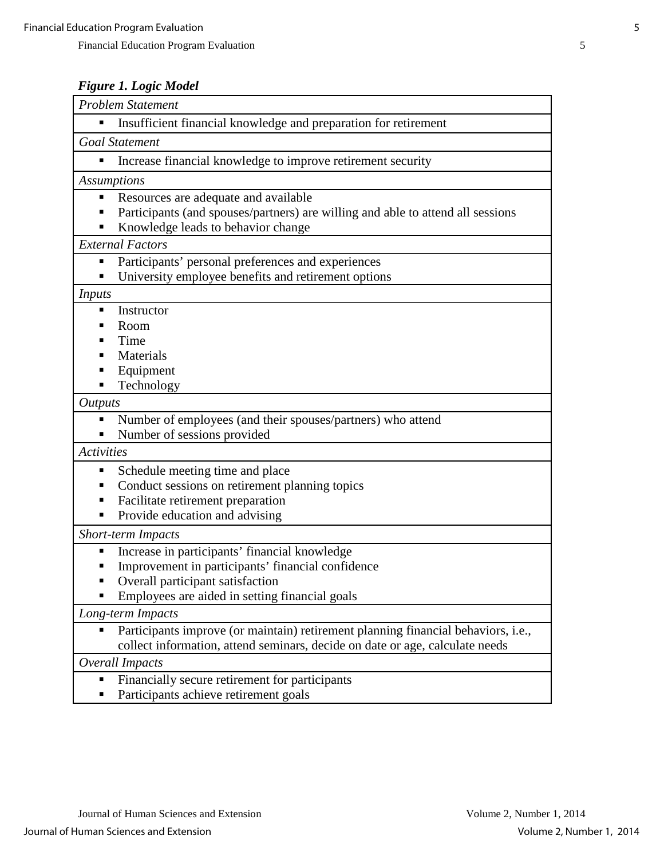## *Figure 1. Logic Model*

| <b>Problem Statement</b>                                                                                                                                               |
|------------------------------------------------------------------------------------------------------------------------------------------------------------------------|
| Insufficient financial knowledge and preparation for retirement<br>٠                                                                                                   |
| <b>Goal Statement</b>                                                                                                                                                  |
| Increase financial knowledge to improve retirement security<br>٠                                                                                                       |
| <b>Assumptions</b>                                                                                                                                                     |
| Resources are adequate and available<br>п<br>Participants (and spouses/partners) are willing and able to attend all sessions                                           |
| Knowledge leads to behavior change<br>п                                                                                                                                |
| <b>External Factors</b>                                                                                                                                                |
| Participants' personal preferences and experiences<br>٠                                                                                                                |
| University employee benefits and retirement options<br>$\blacksquare$                                                                                                  |
| <i>Inputs</i>                                                                                                                                                          |
| Instructor<br>п                                                                                                                                                        |
| Room<br>п<br>Time<br>п                                                                                                                                                 |
| Materials                                                                                                                                                              |
| Equipment<br>п                                                                                                                                                         |
| Technology                                                                                                                                                             |
| <b>Outputs</b>                                                                                                                                                         |
| Number of employees (and their spouses/partners) who attend<br>٠                                                                                                       |
| Number of sessions provided<br>п                                                                                                                                       |
| <b>Activities</b>                                                                                                                                                      |
| Schedule meeting time and place<br>п                                                                                                                                   |
| Conduct sessions on retirement planning topics<br>п                                                                                                                    |
| Facilitate retirement preparation<br>٠                                                                                                                                 |
| Provide education and advising<br>٠                                                                                                                                    |
| <b>Short-term Impacts</b>                                                                                                                                              |
| Increase in participants' financial knowledge<br>٠                                                                                                                     |
| Improvement in participants' financial confidence                                                                                                                      |
| Overall participant satisfaction                                                                                                                                       |
| Employees are aided in setting financial goals                                                                                                                         |
| Long-term Impacts                                                                                                                                                      |
| Participants improve (or maintain) retirement planning financial behaviors, i.e.,<br>п<br>collect information, attend seminars, decide on date or age, calculate needs |
| Overall Impacts                                                                                                                                                        |
| Financially secure retirement for participants<br>٠                                                                                                                    |
| Participants achieve retirement goals<br>п                                                                                                                             |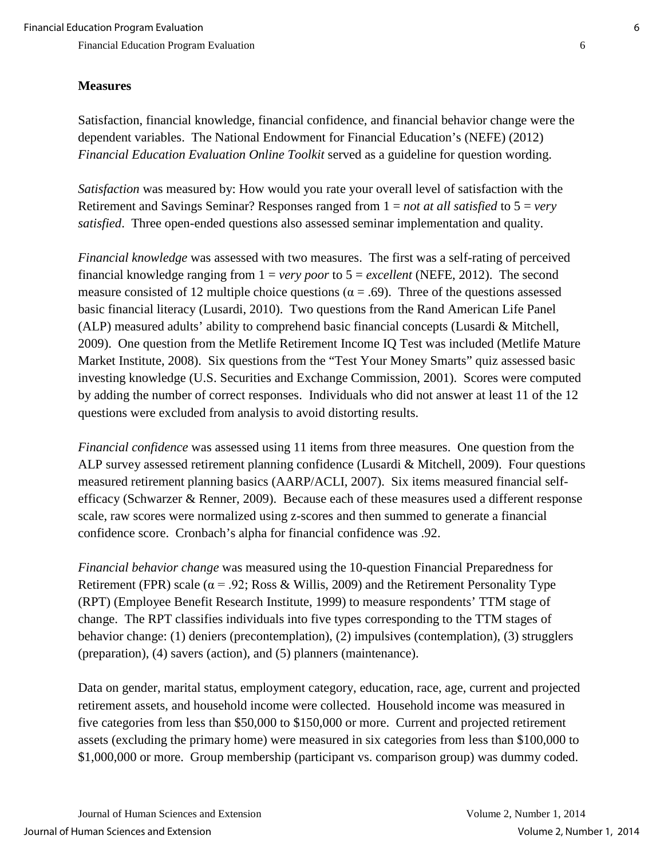### **Measures**

Satisfaction, financial knowledge, financial confidence, and financial behavior change were the dependent variables. The National Endowment for Financial Education's (NEFE) (2012) *Financial Education Evaluation Online Toolkit* served as a guideline for question wording.

*Satisfaction* was measured by: How would you rate your overall level of satisfaction with the Retirement and Savings Seminar? Responses ranged from 1 = *not at all satisfied* to 5 = *very satisfied*. Three open-ended questions also assessed seminar implementation and quality.

*Financial knowledge* was assessed with two measures. The first was a self-rating of perceived financial knowledge ranging from 1 = *very poor* to 5 = *excellent* (NEFE, 2012). The second measure consisted of 12 multiple choice questions ( $\alpha$  = .69). Three of the questions assessed basic financial literacy (Lusardi, 2010). Two questions from the Rand American Life Panel (ALP) measured adults' ability to comprehend basic financial concepts (Lusardi & Mitchell, 2009). One question from the Metlife Retirement Income IQ Test was included (Metlife Mature Market Institute, 2008). Six questions from the "Test Your Money Smarts" quiz assessed basic investing knowledge (U.S. Securities and Exchange Commission, 2001). Scores were computed by adding the number of correct responses. Individuals who did not answer at least 11 of the 12 questions were excluded from analysis to avoid distorting results.

*Financial confidence* was assessed using 11 items from three measures. One question from the ALP survey assessed retirement planning confidence (Lusardi & Mitchell, 2009). Four questions measured retirement planning basics (AARP/ACLI, 2007). Six items measured financial selfefficacy (Schwarzer & Renner, 2009). Because each of these measures used a different response scale, raw scores were normalized using z-scores and then summed to generate a financial confidence score. Cronbach's alpha for financial confidence was .92.

*Financial behavior change* was measured using the 10-question Financial Preparedness for Retirement (FPR) scale ( $\alpha$  = .92; Ross & Willis, 2009) and the Retirement Personality Type (RPT) (Employee Benefit Research Institute, 1999) to measure respondents' TTM stage of change. The RPT classifies individuals into five types corresponding to the TTM stages of behavior change: (1) deniers (precontemplation), (2) impulsives (contemplation), (3) strugglers (preparation), (4) savers (action), and (5) planners (maintenance).

Data on gender, marital status, employment category, education, race, age, current and projected retirement assets, and household income were collected. Household income was measured in five categories from less than \$50,000 to \$150,000 or more. Current and projected retirement assets (excluding the primary home) were measured in six categories from less than \$100,000 to \$1,000,000 or more. Group membership (participant vs. comparison group) was dummy coded.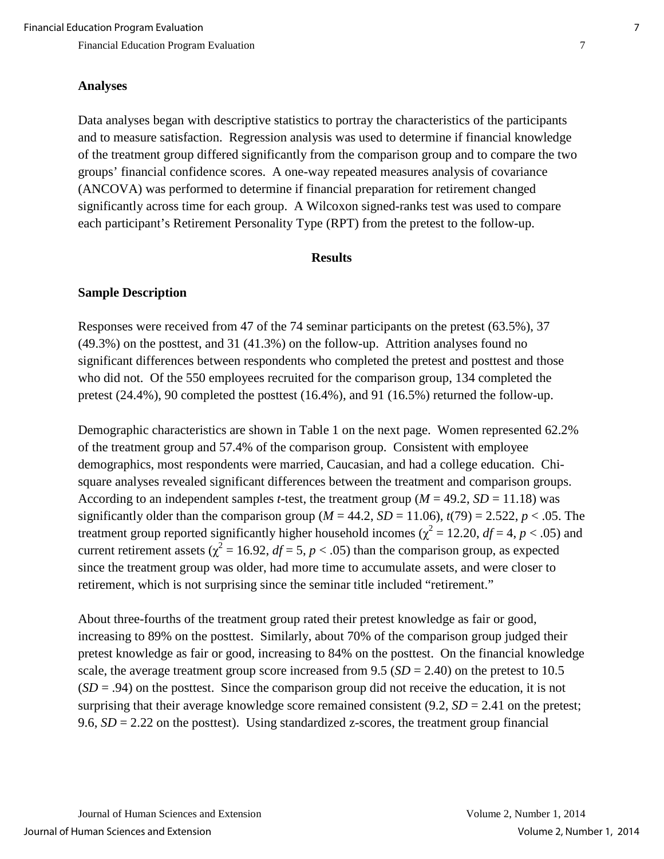#### **Analyses**

Data analyses began with descriptive statistics to portray the characteristics of the participants and to measure satisfaction. Regression analysis was used to determine if financial knowledge of the treatment group differed significantly from the comparison group and to compare the two groups' financial confidence scores. A one-way repeated measures analysis of covariance (ANCOVA) was performed to determine if financial preparation for retirement changed significantly across time for each group. A Wilcoxon signed-ranks test was used to compare each participant's Retirement Personality Type (RPT) from the pretest to the follow-up.

#### **Results**

#### **Sample Description**

Responses were received from 47 of the 74 seminar participants on the pretest (63.5%), 37 (49.3%) on the posttest, and 31 (41.3%) on the follow-up. Attrition analyses found no significant differences between respondents who completed the pretest and posttest and those who did not. Of the 550 employees recruited for the comparison group, 134 completed the pretest (24.4%), 90 completed the posttest (16.4%), and 91 (16.5%) returned the follow-up.

Demographic characteristics are shown in Table 1 on the next page. Women represented 62.2% of the treatment group and 57.4% of the comparison group. Consistent with employee demographics, most respondents were married, Caucasian, and had a college education. Chisquare analyses revealed significant differences between the treatment and comparison groups. According to an independent samples *t*-test, the treatment group ( $M = 49.2$ ,  $SD = 11.18$ ) was significantly older than the comparison group ( $M = 44.2$ ,  $SD = 11.06$ ),  $t(79) = 2.522$ ,  $p < .05$ . The treatment group reported significantly higher household incomes ( $\chi^2 = 12.20$ ,  $df = 4$ ,  $p < .05$ ) and current retirement assets ( $\chi^2 = 16.92$ ,  $df = 5$ ,  $p < .05$ ) than the comparison group, as expected since the treatment group was older, had more time to accumulate assets, and were closer to retirement, which is not surprising since the seminar title included "retirement."

About three-fourths of the treatment group rated their pretest knowledge as fair or good, increasing to 89% on the posttest. Similarly, about 70% of the comparison group judged their pretest knowledge as fair or good, increasing to 84% on the posttest. On the financial knowledge scale, the average treatment group score increased from  $9.5$  ( $SD = 2.40$ ) on the pretest to 10.5 (*SD* = .94) on the posttest. Since the comparison group did not receive the education, it is not surprising that their average knowledge score remained consistent  $(9.2, SD = 2.41)$  on the pretest; 9.6,  $SD = 2.22$  on the posttest). Using standardized z-scores, the treatment group financial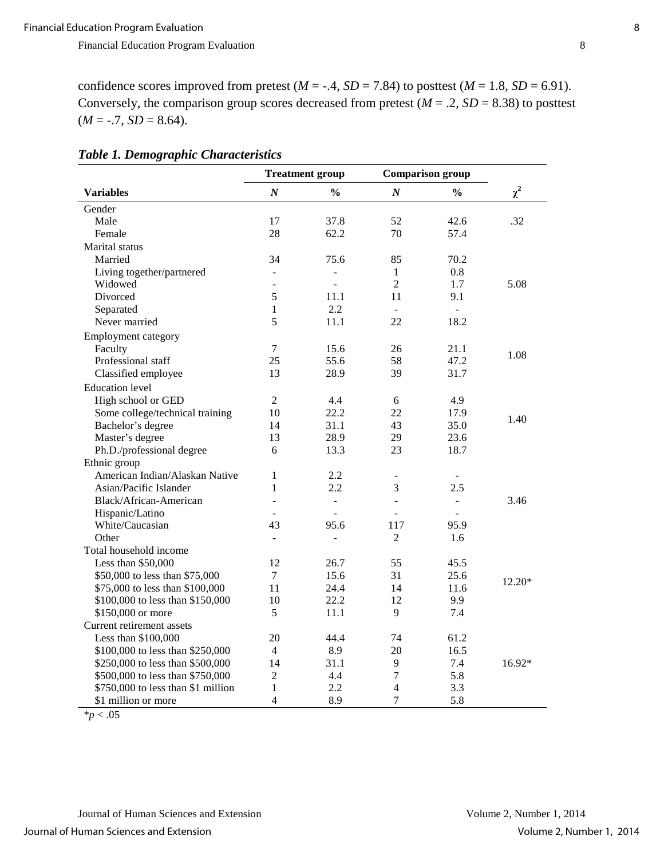confidence scores improved from pretest  $(M = -.4, SD = 7.84)$  to posttest  $(M = 1.8, SD = 6.91)$ . Conversely, the comparison group scores decreased from pretest  $(M = .2, SD = 8.38)$  to posttest  $(M = -.7, SD = 8.64).$ 

|                                    |                  | <b>Treatment group</b>   |                              | <b>Comparison group</b> |          |
|------------------------------------|------------------|--------------------------|------------------------------|-------------------------|----------|
| <b>Variables</b>                   | $\boldsymbol{N}$ | $\frac{0}{0}$            | $\boldsymbol{N}$             | $\frac{0}{0}$           | $\chi^2$ |
| Gender                             |                  |                          |                              |                         |          |
| Male                               | 17               | 37.8                     | 52                           | 42.6                    | .32      |
| Female                             | 28               | 62.2                     | 70                           | 57.4                    |          |
| <b>Marital</b> status              |                  |                          |                              |                         |          |
| Married                            | 34               | 75.6                     | 85                           | 70.2                    |          |
| Living together/partnered          |                  |                          | $\mathbf{1}$                 | 0.8                     |          |
| Widowed                            |                  |                          | $\overline{2}$               | 1.7                     | 5.08     |
| Divorced                           | 5                | 11.1                     | 11                           | 9.1                     |          |
| Separated                          | 1                | 2.2                      | $\mathbf{r}$                 | $\mathbf{r}$            |          |
| Never married                      | 5                | 11.1                     | 22                           | 18.2                    |          |
| Employment category                |                  |                          |                              |                         |          |
| Faculty                            | $\overline{7}$   | 15.6                     | 26                           | 21.1                    |          |
| Professional staff                 | 25               | 55.6                     | 58                           | 47.2                    | 1.08     |
| Classified employee                | 13               | 28.9                     | 39                           | 31.7                    |          |
| <b>Education</b> level             |                  |                          |                              |                         |          |
| High school or GED                 | $\overline{2}$   | 4.4                      | 6                            | 4.9                     |          |
| Some college/technical training    | 10               | 22.2                     | 22                           | 17.9                    |          |
| Bachelor's degree                  | 14               | 31.1                     | 43                           | 35.0                    | 1.40     |
| Master's degree                    | 13               | 28.9                     | 29                           | 23.6                    |          |
| Ph.D./professional degree          | 6                | 13.3                     | 23                           | 18.7                    |          |
| Ethnic group                       |                  |                          |                              |                         |          |
| American Indian/Alaskan Native     | 1                | 2.2                      | $\qquad \qquad \blacksquare$ |                         |          |
| Asian/Pacific Islander             | 1                | 2.2                      | 3                            | 2.5                     |          |
| Black/African-American             | ÷.               | $\overline{\phantom{a}}$ | $\Box$                       | $\blacksquare$          | 3.46     |
| Hispanic/Latino                    |                  | ÷,                       | ÷.                           | $\blacksquare$          |          |
| White/Caucasian                    | 43               | 95.6                     | 117                          | 95.9                    |          |
| Other                              | $\overline{a}$   | $\overline{a}$           | $\overline{2}$               | 1.6                     |          |
| Total household income             |                  |                          |                              |                         |          |
| Less than \$50,000                 | 12               | 26.7                     | 55                           | 45.5                    |          |
| \$50,000 to less than \$75,000     | $\tau$           | 15.6                     | 31                           | 25.6                    |          |
| \$75,000 to less than \$100,000    | 11               | 24.4                     | 14                           | 11.6                    | 12.20*   |
| \$100,000 to less than \$150,000   | 10               | 22.2                     | 12                           | 9.9                     |          |
| \$150,000 or more                  | 5                | 11.1                     | 9                            | 7.4                     |          |
| Current retirement assets          |                  |                          |                              |                         |          |
| Less than \$100,000                | 20               | 44.4                     | 74                           | 61.2                    |          |
| \$100,000 to less than \$250,000   | 4                | 8.9                      | 20                           | 16.5                    |          |
| \$250,000 to less than \$500,000   | 14               | 31.1                     | 9                            | 7.4                     | 16.92*   |
| \$500,000 to less than \$750,000   | $\overline{2}$   | 4.4                      | $\overline{7}$               | 5.8                     |          |
| \$750,000 to less than \$1 million | 1                | 2.2                      | 4                            | 3.3                     |          |
| \$1 million or more                | $\overline{4}$   | 8.9                      | $\overline{7}$               | 5.8                     |          |

### *Table 1. Demographic Characteristics*

\**p* < .05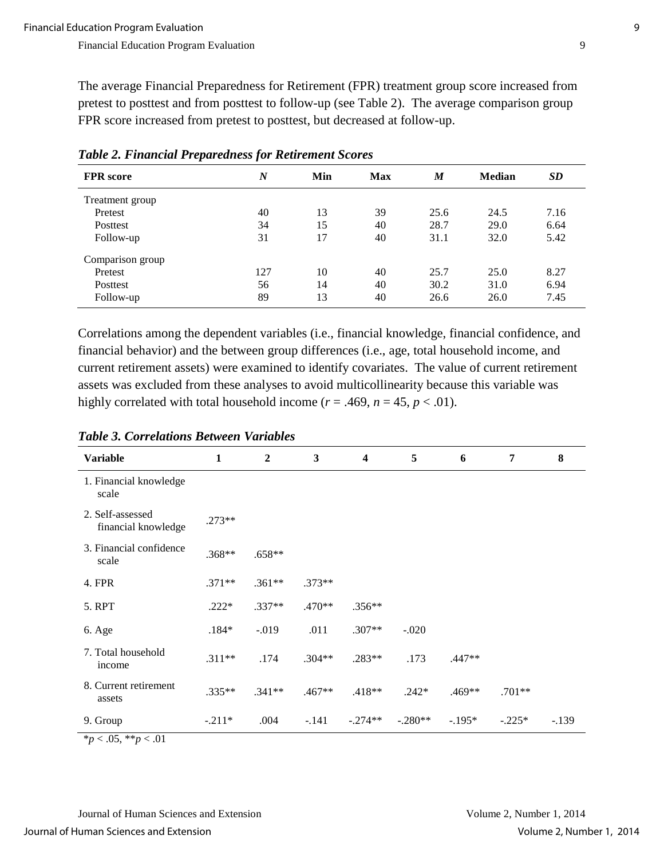The average Financial Preparedness for Retirement (FPR) treatment group score increased from pretest to posttest and from posttest to follow-up (see Table 2). The average comparison group FPR score increased from pretest to posttest, but decreased at follow-up.

| <b>FPR</b> score | $\boldsymbol{N}$ | Min | <b>Max</b> | $\boldsymbol{M}$ | <b>Median</b> | <b>SD</b> |
|------------------|------------------|-----|------------|------------------|---------------|-----------|
| Treatment group  |                  |     |            |                  |               |           |
| Pretest          | 40               | 13  | 39         | 25.6             | 24.5          | 7.16      |
| Posttest         | 34               | 15  | 40         | 28.7             | 29.0          | 6.64      |
| Follow-up        | 31               | 17  | 40         | 31.1             | 32.0          | 5.42      |
| Comparison group |                  |     |            |                  |               |           |
| Pretest          | 127              | 10  | 40         | 25.7             | 25.0          | 8.27      |
| Posttest         | 56               | 14  | 40         | 30.2             | 31.0          | 6.94      |
| Follow-up        | 89               | 13  | 40         | 26.6             | 26.0          | 7.45      |

*Table 2. Financial Preparedness for Retirement Scores*

Correlations among the dependent variables (i.e., financial knowledge, financial confidence, and financial behavior) and the between group differences (i.e., age, total household income, and current retirement assets) were examined to identify covariates. The value of current retirement assets was excluded from these analyses to avoid multicollinearity because this variable was highly correlated with total household income ( $r = .469$ ,  $n = 45$ ,  $p < .01$ ).

| <b>Variable</b>                         | $\mathbf{1}$ | $\overline{2}$ | 3        | 4         | 5         | 6        | 7        | 8       |
|-----------------------------------------|--------------|----------------|----------|-----------|-----------|----------|----------|---------|
| 1. Financial knowledge<br>scale         |              |                |          |           |           |          |          |         |
| 2. Self-assessed<br>financial knowledge | $.273**$     |                |          |           |           |          |          |         |
| 3. Financial confidence<br>scale        | $.368**$     | $.658**$       |          |           |           |          |          |         |
| 4. FPR                                  | $.371**$     | $.361**$       | $.373**$ |           |           |          |          |         |
| 5. RPT                                  | $.222*$      | $.337**$       | $.470**$ | $.356**$  |           |          |          |         |
| 6. Age                                  | $.184*$      | $-0.019$       | .011     | $.307**$  | $-.020$   |          |          |         |
| 7. Total household<br>income            | $.311**$     | .174           | $.304**$ | .283**    | .173      | $.447**$ |          |         |
| 8. Current retirement<br>assets         | $.335**$     | $.341**$       | $.467**$ | $.418**$  | $.242*$   | $.469**$ | $.701**$ |         |
| 9. Group                                | $-.211*$     | .004           | $-.141$  | $-.274**$ | $-.280**$ | $-.195*$ | $-.225*$ | $-.139$ |
| * $p < .05$ , ** $p < .01$              |              |                |          |           |           |          |          |         |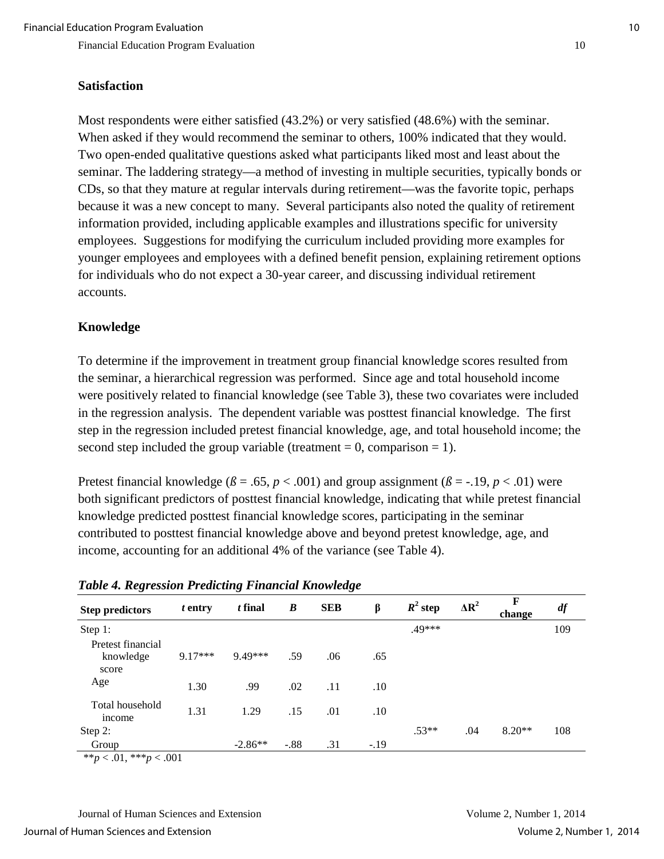#### **Satisfaction**

Most respondents were either satisfied (43.2%) or very satisfied (48.6%) with the seminar. When asked if they would recommend the seminar to others, 100% indicated that they would. Two open-ended qualitative questions asked what participants liked most and least about the seminar. The laddering strategy—a method of investing in multiple securities, typically bonds or CDs, so that they mature at regular intervals during retirement—was the favorite topic, perhaps because it was a new concept to many. Several participants also noted the quality of retirement information provided, including applicable examples and illustrations specific for university employees. Suggestions for modifying the curriculum included providing more examples for younger employees and employees with a defined benefit pension, explaining retirement options for individuals who do not expect a 30-year career, and discussing individual retirement accounts.

#### **Knowledge**

To determine if the improvement in treatment group financial knowledge scores resulted from the seminar, a hierarchical regression was performed. Since age and total household income were positively related to financial knowledge (see Table 3), these two covariates were included in the regression analysis. The dependent variable was posttest financial knowledge. The first step in the regression included pretest financial knowledge, age, and total household income; the second step included the group variable (treatment  $= 0$ , comparison  $= 1$ ).

Pretest financial knowledge ( $\beta = .65$ ,  $p < .001$ ) and group assignment ( $\beta = .19$ ,  $p < .01$ ) were both significant predictors of posttest financial knowledge, indicating that while pretest financial knowledge predicted posttest financial knowledge scores, participating in the seminar contributed to posttest financial knowledge above and beyond pretest knowledge, age, and income, accounting for an additional 4% of the variance (see Table 4).

| <b>Step predictors</b>                  | t entry   | t final   | $\boldsymbol{B}$ | <b>SEB</b> | β      | $R^2$ step | $\Delta R^2$ | F<br>change | df  |
|-----------------------------------------|-----------|-----------|------------------|------------|--------|------------|--------------|-------------|-----|
| Step 1:                                 |           |           |                  |            |        | .49***     |              |             | 109 |
| Pretest financial<br>knowledge<br>score | $9.17***$ | 9.49***   | .59              | .06        | .65    |            |              |             |     |
| Age                                     | 1.30      | .99       | .02              | .11        | .10    |            |              |             |     |
| Total household<br>income               | 1.31      | 1.29      | .15              | .01        | .10    |            |              |             |     |
| Step 2:                                 |           |           |                  |            |        | $.53**$    | .04          | $8.20**$    | 108 |
| Group                                   |           | $-2.86**$ | $-.88$           | .31        | $-.19$ |            |              |             |     |
| ** $p < .01$ , *** $p < .001$           |           |           |                  |            |        |            |              |             |     |

#### *Table 4. Regression Predicting Financial Knowledge*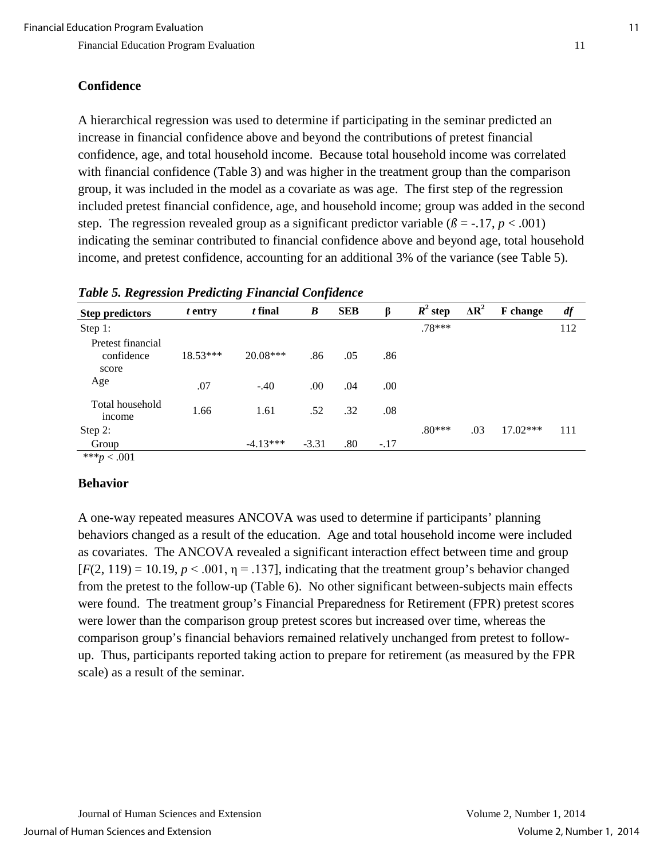## **Confidence**

A hierarchical regression was used to determine if participating in the seminar predicted an increase in financial confidence above and beyond the contributions of pretest financial confidence, age, and total household income. Because total household income was correlated with financial confidence (Table 3) and was higher in the treatment group than the comparison group, it was included in the model as a covariate as was age. The first step of the regression included pretest financial confidence, age, and household income; group was added in the second step. The regression revealed group as a significant predictor variable ( $\beta$  = -.17, *p* < .001) indicating the seminar contributed to financial confidence above and beyond age, total household income, and pretest confidence, accounting for an additional 3% of the variance (see Table 5).

| ັ                                        |            | ັ          | $\cdot$          |            |        |            |              |                 |     |
|------------------------------------------|------------|------------|------------------|------------|--------|------------|--------------|-----------------|-----|
| <b>Step predictors</b>                   | t entry    | t final    | $\boldsymbol{B}$ | <b>SEB</b> | β      | $R^2$ step | $\Delta R^2$ | <b>F</b> change | df  |
| Step 1:                                  |            |            |                  |            |        | $.78***$   |              |                 | 112 |
| Pretest financial<br>confidence<br>score | $18.53***$ | $20.08***$ | .86              | .05        | .86    |            |              |                 |     |
| Age                                      | .07        | $-.40$     | .00              | .04        | .00    |            |              |                 |     |
| Total household<br>income                | 1.66       | 1.61       | .52              | .32        | .08    |            |              |                 |     |
| Step 2:                                  |            |            |                  |            |        | $.80***$   | .03          | $17.02***$      | 111 |
| Group                                    |            | $-4.13***$ | $-3.31$          | .80        | $-.17$ |            |              |                 |     |

\*\*\**p* < .001

#### **Behavior**

A one-way repeated measures ANCOVA was used to determine if participants' planning behaviors changed as a result of the education. Age and total household income were included as covariates. The ANCOVA revealed a significant interaction effect between time and group  $[F(2, 119) = 10.19, p < .001, \eta = .137]$ , indicating that the treatment group's behavior changed from the pretest to the follow-up (Table 6). No other significant between-subjects main effects were found. The treatment group's Financial Preparedness for Retirement (FPR) pretest scores were lower than the comparison group pretest scores but increased over time, whereas the comparison group's financial behaviors remained relatively unchanged from pretest to followup. Thus, participants reported taking action to prepare for retirement (as measured by the FPR scale) as a result of the seminar.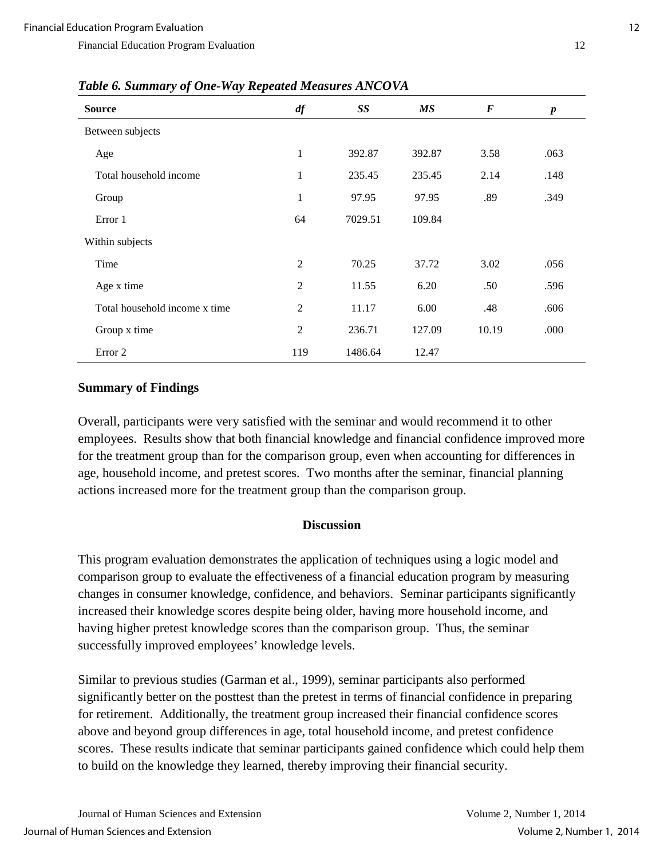| <b>Source</b>                 | df             | SS      | МS     | $\bm{F}$ | $\boldsymbol{p}$ |
|-------------------------------|----------------|---------|--------|----------|------------------|
| Between subjects              |                |         |        |          |                  |
| Age                           | 1              | 392.87  | 392.87 | 3.58     | .063             |
| Total household income        | $\mathbf{1}$   | 235.45  | 235.45 | 2.14     | .148             |
| Group                         | $\mathbf{1}$   | 97.95   | 97.95  | .89      | .349             |
| Error 1                       | 64             | 7029.51 | 109.84 |          |                  |
| Within subjects               |                |         |        |          |                  |
| Time                          | $\mathfrak{2}$ | 70.25   | 37.72  | 3.02     | .056             |
| Age x time                    | $\overline{2}$ | 11.55   | 6.20   | .50      | .596             |
| Total household income x time | $\overline{2}$ | 11.17   | 6.00   | .48      | .606             |
| Group x time                  | $\overline{2}$ | 236.71  | 127.09 | 10.19    | .000             |
| Error 2                       | 119            | 1486.64 | 12.47  |          |                  |

*Table 6. Summary of One-Way Repeated Measures ANCOVA*

#### **Summary of Findings**

Overall, participants were very satisfied with the seminar and would recommend it to other employees. Results show that both financial knowledge and financial confidence improved more for the treatment group than for the comparison group, even when accounting for differences in age, household income, and pretest scores. Two months after the seminar, financial planning actions increased more for the treatment group than the comparison group.

#### **Discussion**

This program evaluation demonstrates the application of techniques using a logic model and comparison group to evaluate the effectiveness of a financial education program by measuring changes in consumer knowledge, confidence, and behaviors. Seminar participants significantly increased their knowledge scores despite being older, having more household income, and having higher pretest knowledge scores than the comparison group. Thus, the seminar successfully improved employees' knowledge levels.

Similar to previous studies (Garman et al., 1999), seminar participants also performed significantly better on the posttest than the pretest in terms of financial confidence in preparing for retirement. Additionally, the treatment group increased their financial confidence scores above and beyond group differences in age, total household income, and pretest confidence scores. These results indicate that seminar participants gained confidence which could help them to build on the knowledge they learned, thereby improving their financial security.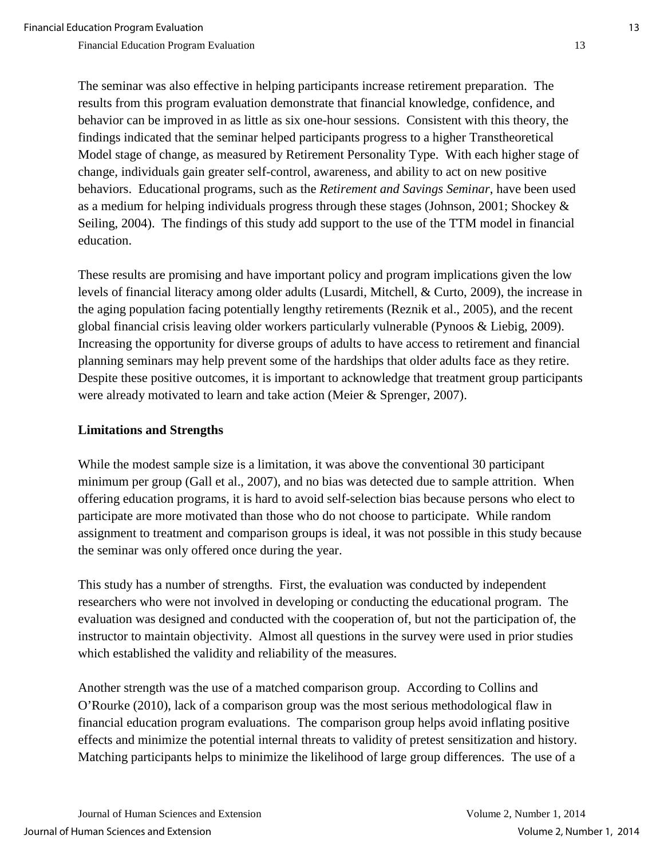The seminar was also effective in helping participants increase retirement preparation. The results from this program evaluation demonstrate that financial knowledge, confidence, and behavior can be improved in as little as six one-hour sessions. Consistent with this theory, the findings indicated that the seminar helped participants progress to a higher Transtheoretical Model stage of change, as measured by Retirement Personality Type. With each higher stage of change, individuals gain greater self-control, awareness, and ability to act on new positive behaviors. Educational programs, such as the *Retirement and Savings Seminar*, have been used as a medium for helping individuals progress through these stages (Johnson, 2001; Shockey & Seiling, 2004). The findings of this study add support to the use of the TTM model in financial education.

These results are promising and have important policy and program implications given the low levels of financial literacy among older adults (Lusardi, Mitchell, & Curto, 2009), the increase in the aging population facing potentially lengthy retirements (Reznik et al., 2005), and the recent global financial crisis leaving older workers particularly vulnerable (Pynoos & Liebig, 2009). Increasing the opportunity for diverse groups of adults to have access to retirement and financial planning seminars may help prevent some of the hardships that older adults face as they retire. Despite these positive outcomes, it is important to acknowledge that treatment group participants were already motivated to learn and take action (Meier & Sprenger, 2007).

## **Limitations and Strengths**

While the modest sample size is a limitation, it was above the conventional 30 participant minimum per group (Gall et al., 2007), and no bias was detected due to sample attrition. When offering education programs, it is hard to avoid self-selection bias because persons who elect to participate are more motivated than those who do not choose to participate. While random assignment to treatment and comparison groups is ideal, it was not possible in this study because the seminar was only offered once during the year.

This study has a number of strengths. First, the evaluation was conducted by independent researchers who were not involved in developing or conducting the educational program. The evaluation was designed and conducted with the cooperation of, but not the participation of, the instructor to maintain objectivity. Almost all questions in the survey were used in prior studies which established the validity and reliability of the measures.

Another strength was the use of a matched comparison group. According to Collins and O'Rourke (2010), lack of a comparison group was the most serious methodological flaw in financial education program evaluations. The comparison group helps avoid inflating positive effects and minimize the potential internal threats to validity of pretest sensitization and history. Matching participants helps to minimize the likelihood of large group differences. The use of a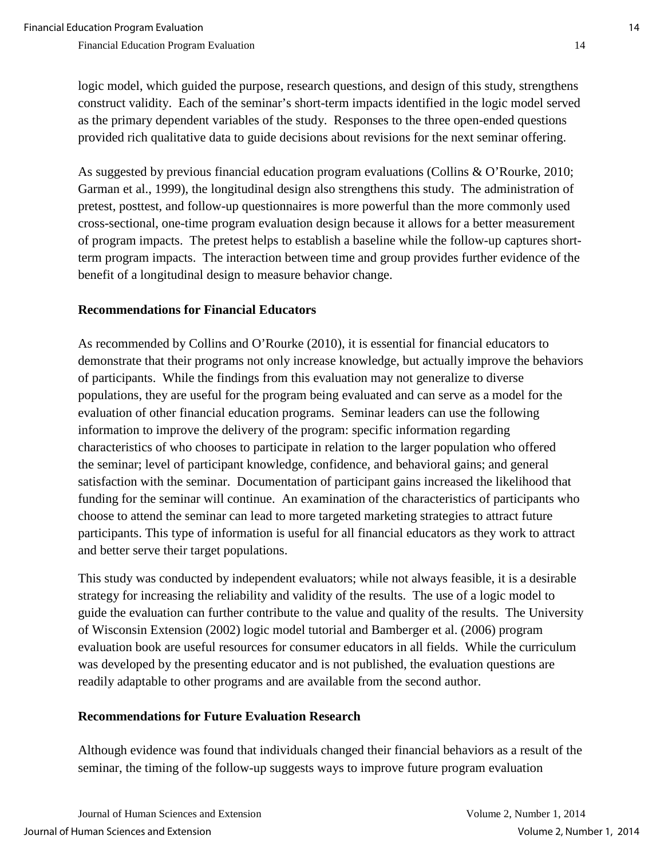logic model, which guided the purpose, research questions, and design of this study, strengthens construct validity. Each of the seminar's short-term impacts identified in the logic model served as the primary dependent variables of the study. Responses to the three open-ended questions provided rich qualitative data to guide decisions about revisions for the next seminar offering.

As suggested by previous financial education program evaluations (Collins & O'Rourke, 2010; Garman et al., 1999), the longitudinal design also strengthens this study. The administration of pretest, posttest, and follow-up questionnaires is more powerful than the more commonly used cross-sectional, one-time program evaluation design because it allows for a better measurement of program impacts. The pretest helps to establish a baseline while the follow-up captures shortterm program impacts. The interaction between time and group provides further evidence of the benefit of a longitudinal design to measure behavior change.

## **Recommendations for Financial Educators**

As recommended by Collins and O'Rourke (2010), it is essential for financial educators to demonstrate that their programs not only increase knowledge, but actually improve the behaviors of participants. While the findings from this evaluation may not generalize to diverse populations, they are useful for the program being evaluated and can serve as a model for the evaluation of other financial education programs. Seminar leaders can use the following information to improve the delivery of the program: specific information regarding characteristics of who chooses to participate in relation to the larger population who offered the seminar; level of participant knowledge, confidence, and behavioral gains; and general satisfaction with the seminar. Documentation of participant gains increased the likelihood that funding for the seminar will continue. An examination of the characteristics of participants who choose to attend the seminar can lead to more targeted marketing strategies to attract future participants. This type of information is useful for all financial educators as they work to attract and better serve their target populations.

This study was conducted by independent evaluators; while not always feasible, it is a desirable strategy for increasing the reliability and validity of the results. The use of a logic model to guide the evaluation can further contribute to the value and quality of the results. The University of Wisconsin Extension (2002) logic model tutorial and Bamberger et al. (2006) program evaluation book are useful resources for consumer educators in all fields. While the curriculum was developed by the presenting educator and is not published, the evaluation questions are readily adaptable to other programs and are available from the second author.

## **Recommendations for Future Evaluation Research**

Although evidence was found that individuals changed their financial behaviors as a result of the seminar, the timing of the follow-up suggests ways to improve future program evaluation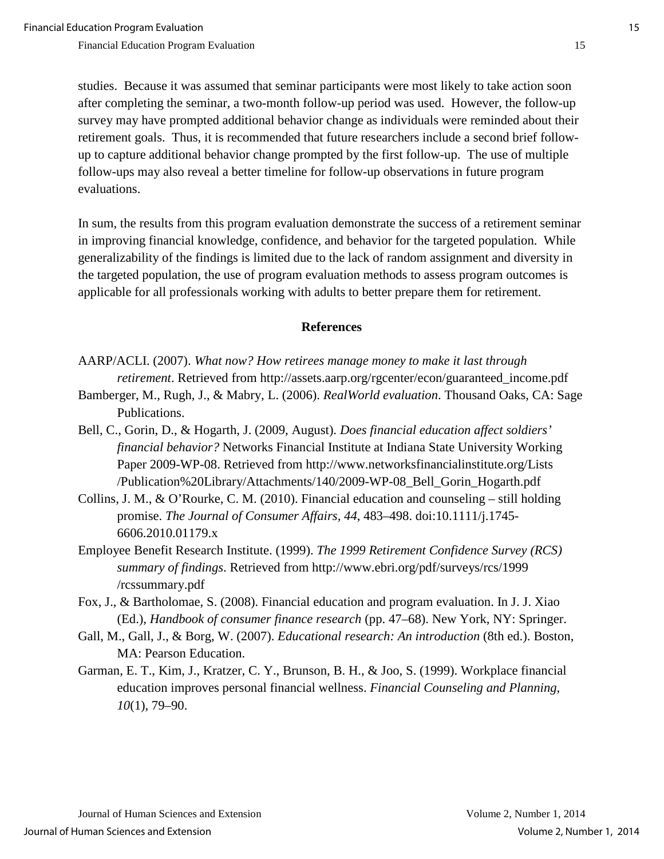studies. Because it was assumed that seminar participants were most likely to take action soon after completing the seminar, a two-month follow-up period was used. However, the follow-up survey may have prompted additional behavior change as individuals were reminded about their retirement goals. Thus, it is recommended that future researchers include a second brief followup to capture additional behavior change prompted by the first follow-up. The use of multiple follow-ups may also reveal a better timeline for follow-up observations in future program evaluations.

In sum, the results from this program evaluation demonstrate the success of a retirement seminar in improving financial knowledge, confidence, and behavior for the targeted population. While generalizability of the findings is limited due to the lack of random assignment and diversity in the targeted population, the use of program evaluation methods to assess program outcomes is applicable for all professionals working with adults to better prepare them for retirement.

#### **References**

- AARP/ACLI. (2007). *What now? How retirees manage money to make it last through retirement*. Retrieved from http://assets.aarp.org/rgcenter/econ/guaranteed\_income.pdf
- Bamberger, M., Rugh, J., & Mabry, L. (2006). *RealWorld evaluation*. Thousand Oaks, CA: Sage Publications.
- Bell, C., Gorin, D., & Hogarth, J. (2009, August). *Does financial education affect soldiers' financial behavior?* Networks Financial Institute at Indiana State University Working Paper 2009-WP-08. Retrieved from http://www.networksfinancialinstitute.org/Lists /Publication%20Library/Attachments/140/2009-WP-08\_Bell\_Gorin\_Hogarth.pdf
- Collins, J. M., & O'Rourke, C. M. (2010). Financial education and counseling still holding promise. *The Journal of Consumer Affairs, 44*, 483–498. doi:10.1111/j.1745- 6606.2010.01179.x
- Employee Benefit Research Institute. (1999). *The 1999 Retirement Confidence Survey (RCS) summary of findings*. Retrieved from http://www.ebri.org/pdf/surveys/rcs/1999 /rcssummary.pdf
- Fox, J., & Bartholomae, S. (2008). Financial education and program evaluation. In J. J. Xiao (Ed.), *Handbook of consumer finance research* (pp. 47–68). New York, NY: Springer.
- Gall, M., Gall, J., & Borg, W. (2007). *Educational research: An introduction* (8th ed.). Boston, MA: Pearson Education.
- Garman, E. T., Kim, J., Kratzer, C. Y., Brunson, B. H., & Joo, S. (1999). Workplace financial education improves personal financial wellness. *Financial Counseling and Planning, 10*(1), 79–90.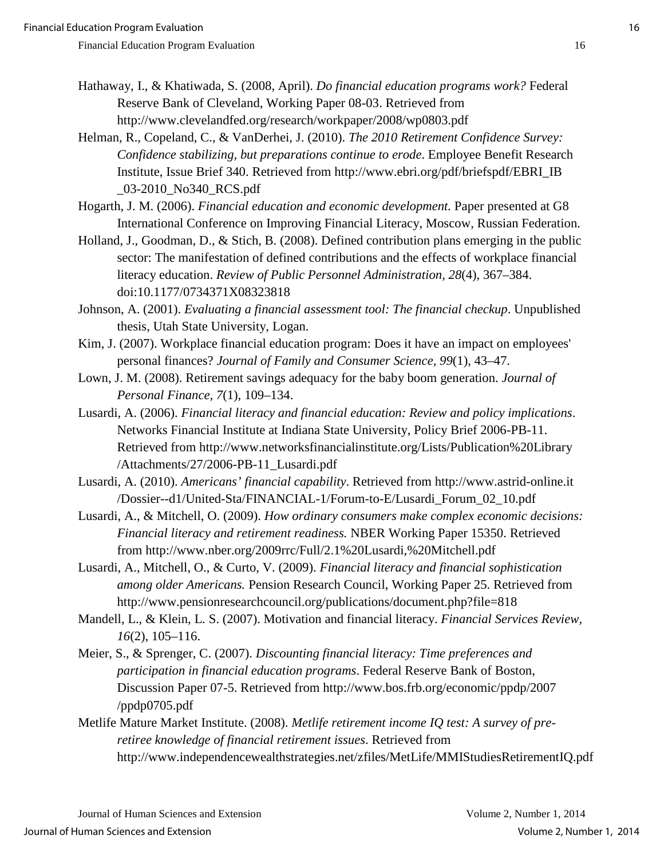- Hathaway, I., & Khatiwada, S. (2008, April). *Do financial education programs work?* Federal Reserve Bank of Cleveland, Working Paper 08-03. Retrieved from http://www.clevelandfed.org/research/workpaper/2008/wp0803.pdf
- Helman, R., Copeland, C., & VanDerhei, J. (2010). *The 2010 Retirement Confidence Survey: Confidence stabilizing, but preparations continue to erode*. Employee Benefit Research Institute, Issue Brief 340. Retrieved from http://www.ebri.org/pdf/briefspdf/EBRI\_IB \_03-2010\_No340\_RCS.pdf
- Hogarth, J. M. (2006). *Financial education and economic development.* Paper presented at G8 International Conference on Improving Financial Literacy, Moscow, Russian Federation.
- Holland, J., Goodman, D., & Stich, B. (2008). Defined contribution plans emerging in the public sector: The manifestation of defined contributions and the effects of workplace financial literacy education. *Review of Public Personnel Administration, 28*(4), 367–384. doi:10.1177/0734371X08323818
- Johnson, A. (2001). *Evaluating a financial assessment tool: The financial checkup*. Unpublished thesis, Utah State University, Logan.
- Kim, J. (2007). Workplace financial education program: Does it have an impact on employees' personal finances? *Journal of Family and Consumer Science, 99*(1), 43–47.
- Lown, J. M. (2008). Retirement savings adequacy for the baby boom generation. *Journal of Personal Finance, 7*(1), 109–134.
- Lusardi, A. (2006). *Financial literacy and financial education: Review and policy implications*. Networks Financial Institute at Indiana State University, Policy Brief 2006-PB-11. Retrieved from http://www.networksfinancialinstitute.org/Lists/Publication%20Library /Attachments/27/2006-PB-11\_Lusardi.pdf
- Lusardi, A. (2010). *Americans' financial capability*. Retrieved from http://www.astrid-online.it /Dossier--d1/United-Sta/FINANCIAL-1/Forum-to-E/Lusardi\_Forum\_02\_10.pdf
- Lusardi, A., & Mitchell, O. (2009). *How ordinary consumers make complex economic decisions: Financial literacy and retirement readiness.* NBER Working Paper 15350. Retrieved from http://www.nber.org/2009rrc/Full/2.1%20Lusardi,%20Mitchell.pdf
- Lusardi, A., Mitchell, O., & Curto, V. (2009). *Financial literacy and financial sophistication among older Americans.* Pension Research Council, Working Paper 25. Retrieved from http://www.pensionresearchcouncil.org/publications/document.php?file=818
- Mandell, L., & Klein, L. S. (2007). Motivation and financial literacy. *Financial Services Review, 16*(2), 105–116.
- Meier, S., & Sprenger, C. (2007). *Discounting financial literacy: Time preferences and participation in financial education programs*. Federal Reserve Bank of Boston, Discussion Paper 07-5. Retrieved from http://www.bos.frb.org/economic/ppdp/2007 /ppdp0705.pdf
- Metlife Mature Market Institute. (2008). *Metlife retirement income IQ test: A survey of preretiree knowledge of financial retirement issues*. Retrieved from http://www.independencewealthstrategies.net/zfiles/MetLife/MMIStudiesRetirementIQ.pdf